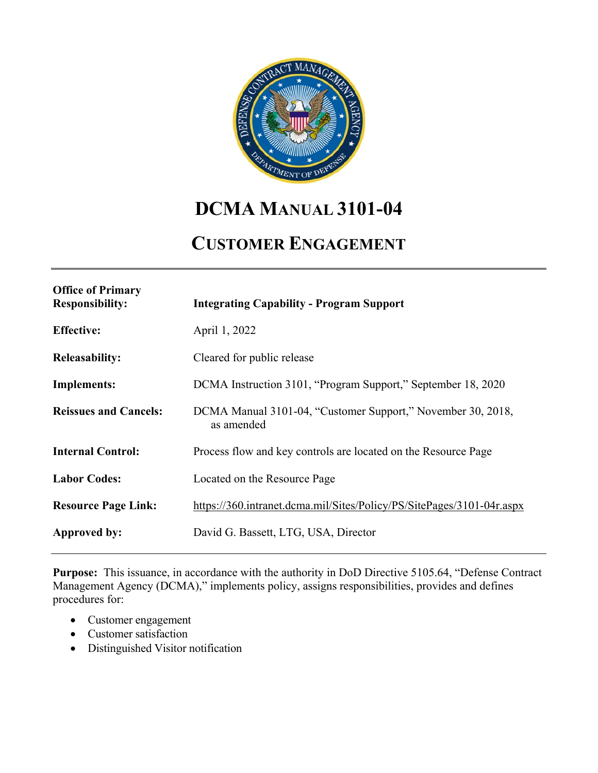

# **DCMA MANUAL 3101-04**

# **CUSTOMER ENGAGEMENT**

| <b>Office of Primary</b><br><b>Responsibility:</b> | <b>Integrating Capability - Program Support</b>                           |
|----------------------------------------------------|---------------------------------------------------------------------------|
| <b>Effective:</b>                                  | April 1, 2022                                                             |
| <b>Releasability:</b>                              | Cleared for public release                                                |
| <b>Implements:</b>                                 | DCMA Instruction 3101, "Program Support," September 18, 2020              |
| <b>Reissues and Cancels:</b>                       | DCMA Manual 3101-04, "Customer Support," November 30, 2018,<br>as amended |
| <b>Internal Control:</b>                           | Process flow and key controls are located on the Resource Page            |
| <b>Labor Codes:</b>                                | Located on the Resource Page                                              |
| <b>Resource Page Link:</b>                         | https://360.intranet.dcma.mil/Sites/Policy/PS/SitePages/3101-04r.aspx     |
| Approved by:                                       | David G. Bassett, LTG, USA, Director                                      |
|                                                    |                                                                           |

**Purpose:** This issuance, in accordance with the authority in DoD Directive 5105.64, "Defense Contract Management Agency (DCMA)," implements policy, assigns responsibilities, provides and defines procedures for:

- Customer engagement
- Customer satisfaction
- Distinguished Visitor notification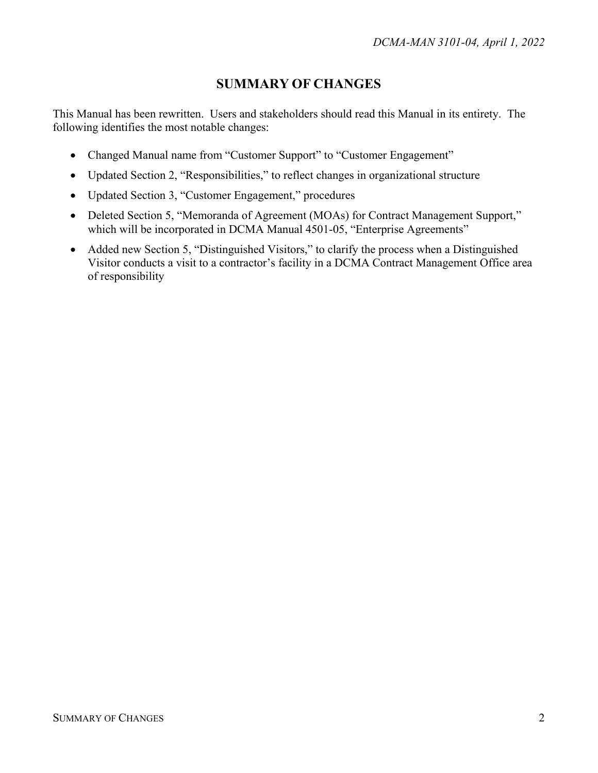# **SUMMARY OF CHANGES**

<span id="page-1-0"></span>This Manual has been rewritten. Users and stakeholders should read this Manual in its entirety. The following identifies the most notable changes:

- Changed Manual name from "Customer Support" to "Customer Engagement"
- Updated Section 2, "Responsibilities," to reflect changes in organizational structure
- Updated Section 3, "Customer Engagement," procedures
- Deleted Section 5, "Memoranda of Agreement (MOAs) for Contract Management Support," which will be incorporated in DCMA Manual 4501-05, "Enterprise Agreements"
- Added new Section 5, "Distinguished Visitors," to clarify the process when a Distinguished Visitor conducts a visit to a contractor's facility in a DCMA Contract Management Office area of responsibility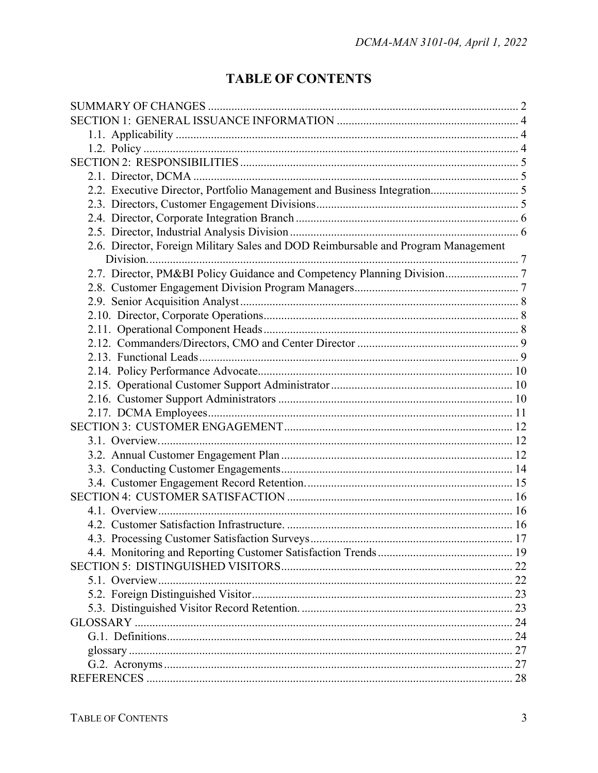# **TABLE OF CONTENTS**

| 2.6. Director, Foreign Military Sales and DOD Reimbursable and Program Management |  |  |
|-----------------------------------------------------------------------------------|--|--|
|                                                                                   |  |  |
| 2.7. Director, PM&BI Policy Guidance and Competency Planning Division 7           |  |  |
|                                                                                   |  |  |
|                                                                                   |  |  |
|                                                                                   |  |  |
|                                                                                   |  |  |
|                                                                                   |  |  |
|                                                                                   |  |  |
|                                                                                   |  |  |
|                                                                                   |  |  |
|                                                                                   |  |  |
|                                                                                   |  |  |
|                                                                                   |  |  |
|                                                                                   |  |  |
|                                                                                   |  |  |
|                                                                                   |  |  |
|                                                                                   |  |  |
|                                                                                   |  |  |
|                                                                                   |  |  |
|                                                                                   |  |  |
|                                                                                   |  |  |
|                                                                                   |  |  |
|                                                                                   |  |  |
|                                                                                   |  |  |
|                                                                                   |  |  |
|                                                                                   |  |  |
|                                                                                   |  |  |
|                                                                                   |  |  |
|                                                                                   |  |  |
|                                                                                   |  |  |
|                                                                                   |  |  |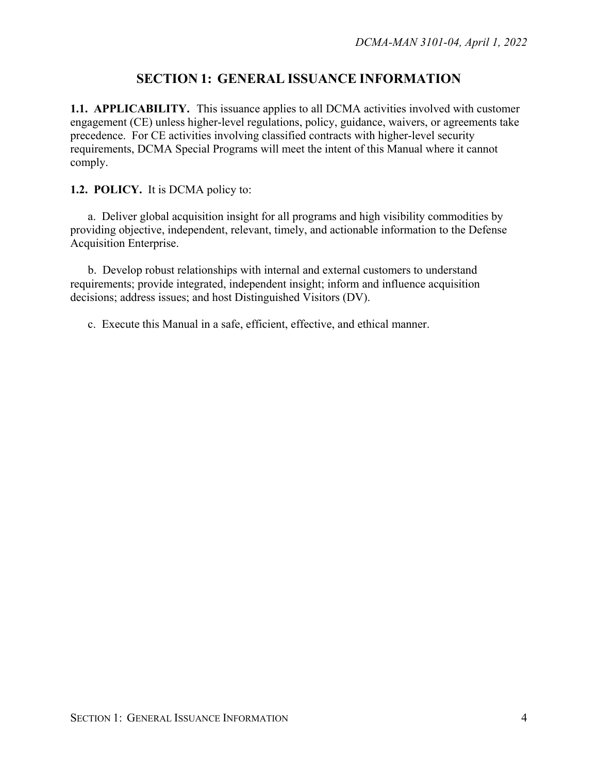# **SECTION 1: GENERAL ISSUANCE INFORMATION**

<span id="page-3-1"></span><span id="page-3-0"></span>**1.1. APPLICABILITY.** This issuance applies to all DCMA activities involved with customer engagement (CE) unless higher-level regulations, policy, guidance, waivers, or agreements take precedence. For CE activities involving classified contracts with higher-level security requirements, DCMA Special Programs will meet the intent of this Manual where it cannot comply.

<span id="page-3-2"></span>**1.2. POLICY.** It is DCMA policy to:

a. Deliver global acquisition insight for all programs and high visibility commodities by providing objective, independent, relevant, timely, and actionable information to the Defense Acquisition Enterprise.

b. Develop robust relationships with internal and external customers to understand requirements; provide integrated, independent insight; inform and influence acquisition decisions; address issues; and host Distinguished Visitors (DV).

c. Execute this Manual in a safe, efficient, effective, and ethical manner.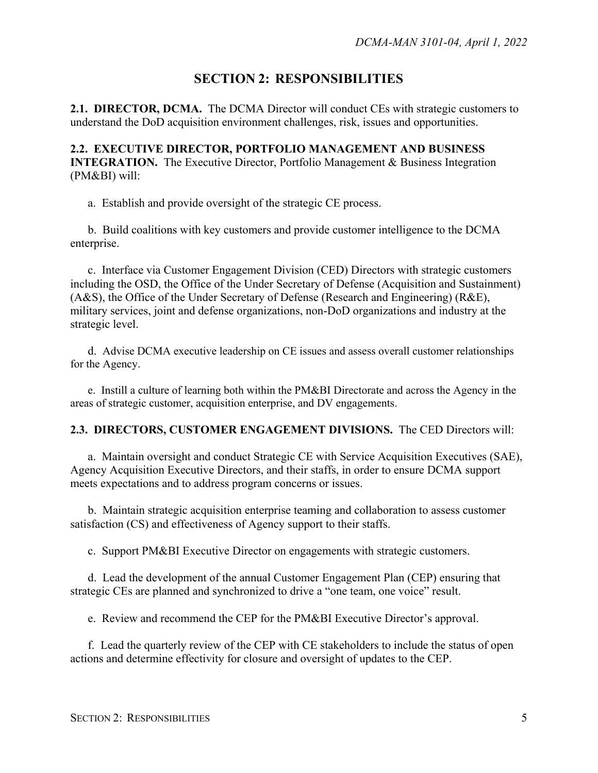# **SECTION 2: RESPONSIBILITIES**

<span id="page-4-1"></span><span id="page-4-0"></span>**2.1. DIRECTOR, DCMA.** The DCMA Director will conduct CEs with strategic customers to understand the DoD acquisition environment challenges, risk, issues and opportunities.

<span id="page-4-2"></span>**2.2. EXECUTIVE DIRECTOR, PORTFOLIO MANAGEMENT AND BUSINESS INTEGRATION.** The Executive Director, Portfolio Management & Business Integration (PM&BI) will:

a. Establish and provide oversight of the strategic CE process.

b. Build coalitions with key customers and provide customer intelligence to the DCMA enterprise.

c. Interface via Customer Engagement Division (CED) Directors with strategic customers including the OSD, the Office of the Under Secretary of Defense (Acquisition and Sustainment) (A&S), the Office of the Under Secretary of Defense (Research and Engineering) (R&E), military services, joint and defense organizations, non-DoD organizations and industry at the strategic level.

d. Advise DCMA executive leadership on CE issues and assess overall customer relationships for the Agency.

e. Instill a culture of learning both within the PM&BI Directorate and across the Agency in the areas of strategic customer, acquisition enterprise, and DV engagements.

#### <span id="page-4-3"></span>**2.3. DIRECTORS, CUSTOMER ENGAGEMENT DIVISIONS.** The CED Directors will:

a. Maintain oversight and conduct Strategic CE with Service Acquisition Executives (SAE), Agency Acquisition Executive Directors, and their staffs, in order to ensure DCMA support meets expectations and to address program concerns or issues.

b. Maintain strategic acquisition enterprise teaming and collaboration to assess customer satisfaction (CS) and effectiveness of Agency support to their staffs.

c. Support PM&BI Executive Director on engagements with strategic customers.

d. Lead the development of the annual Customer Engagement Plan (CEP) ensuring that strategic CEs are planned and synchronized to drive a "one team, one voice" result.

e. Review and recommend the CEP for the PM&BI Executive Director's approval.

f. Lead the quarterly review of the CEP with CE stakeholders to include the status of open actions and determine effectivity for closure and oversight of updates to the CEP.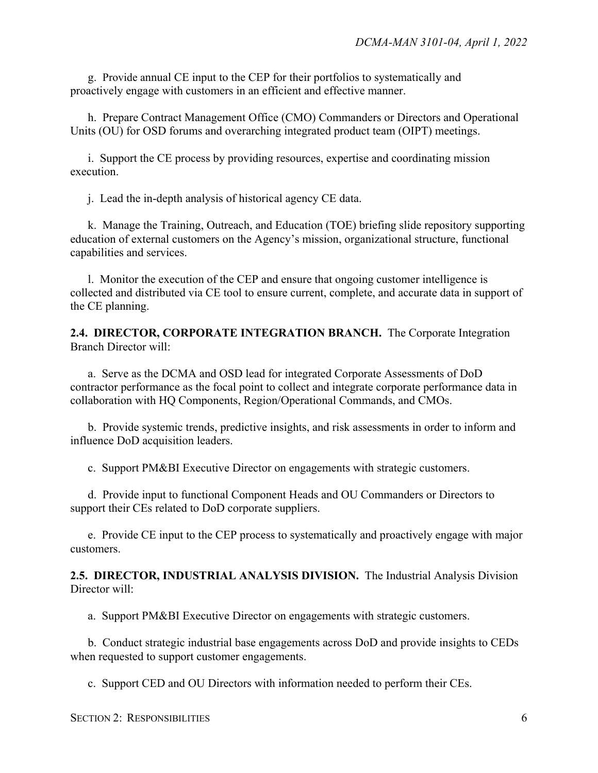g. Provide annual CE input to the CEP for their portfolios to systematically and proactively engage with customers in an efficient and effective manner.

h. Prepare Contract Management Office (CMO) Commanders or Directors and Operational Units (OU) for OSD forums and overarching integrated product team (OIPT) meetings.

i. Support the CE process by providing resources, expertise and coordinating mission execution.

j. Lead the in-depth analysis of historical agency CE data.

k. Manage the Training, Outreach, and Education (TOE) briefing slide repository supporting education of external customers on the Agency's mission, organizational structure, functional capabilities and services.

l. Monitor the execution of the CEP and ensure that ongoing customer intelligence is collected and distributed via CE tool to ensure current, complete, and accurate data in support of the CE planning.

<span id="page-5-0"></span>**2.4. DIRECTOR, CORPORATE INTEGRATION BRANCH.** The Corporate Integration Branch Director will:

a. Serve as the DCMA and OSD lead for integrated Corporate Assessments of DoD contractor performance as the focal point to collect and integrate corporate performance data in collaboration with HQ Components, Region/Operational Commands, and CMOs.

b. Provide systemic trends, predictive insights, and risk assessments in order to inform and influence DoD acquisition leaders.

c. Support PM&BI Executive Director on engagements with strategic customers.

d. Provide input to functional Component Heads and OU Commanders or Directors to support their CEs related to DoD corporate suppliers.

e. Provide CE input to the CEP process to systematically and proactively engage with major customers.

<span id="page-5-1"></span>**2.5. DIRECTOR, INDUSTRIAL ANALYSIS DIVISION.** The Industrial Analysis Division Director will:

a. Support PM&BI Executive Director on engagements with strategic customers.

b. Conduct strategic industrial base engagements across DoD and provide insights to CEDs when requested to support customer engagements.

c. Support CED and OU Directors with information needed to perform their CEs.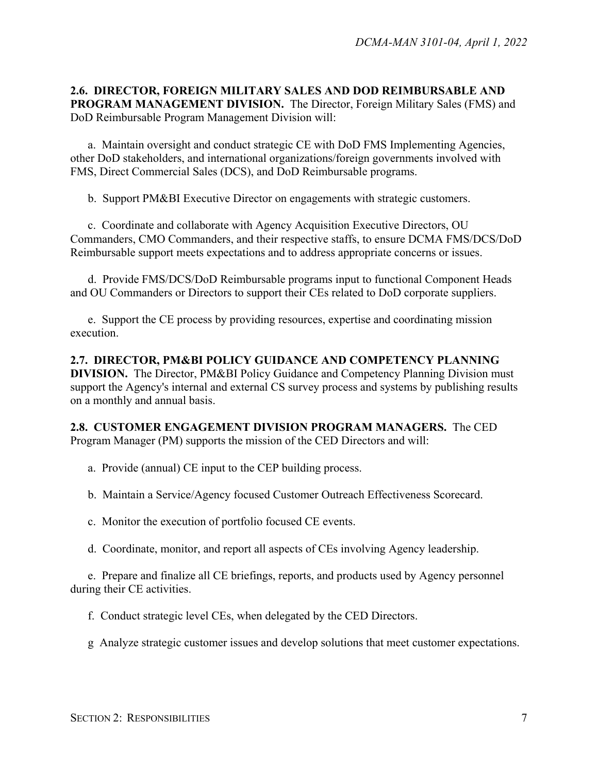<span id="page-6-0"></span>**2.6. DIRECTOR, FOREIGN MILITARY SALES AND DOD REIMBURSABLE AND PROGRAM MANAGEMENT DIVISION.** The Director, Foreign Military Sales (FMS) and DoD Reimbursable Program Management Division will:

a. Maintain oversight and conduct strategic CE with DoD FMS Implementing Agencies, other DoD stakeholders, and international organizations/foreign governments involved with FMS, Direct Commercial Sales (DCS), and DoD Reimbursable programs.

b. Support PM&BI Executive Director on engagements with strategic customers.

c. Coordinate and collaborate with Agency Acquisition Executive Directors, OU Commanders, CMO Commanders, and their respective staffs, to ensure DCMA FMS/DCS/DoD Reimbursable support meets expectations and to address appropriate concerns or issues.

d. Provide FMS/DCS/DoD Reimbursable programs input to functional Component Heads and OU Commanders or Directors to support their CEs related to DoD corporate suppliers.

e. Support the CE process by providing resources, expertise and coordinating mission execution.

<span id="page-6-1"></span>**2.7. DIRECTOR, PM&BI POLICY GUIDANCE AND COMPETENCY PLANNING DIVISION.** The Director, PM&BI Policy Guidance and Competency Planning Division must support the Agency's internal and external CS survey process and systems by publishing results on a monthly and annual basis.

<span id="page-6-2"></span>**2.8. CUSTOMER ENGAGEMENT DIVISION PROGRAM MANAGERS.** The CED Program Manager (PM) supports the mission of the CED Directors and will:

- a. Provide (annual) CE input to the CEP building process.
- b. Maintain a Service/Agency focused Customer Outreach Effectiveness Scorecard.
- c. Monitor the execution of portfolio focused CE events.
- d. Coordinate, monitor, and report all aspects of CEs involving Agency leadership.

e. Prepare and finalize all CE briefings, reports, and products used by Agency personnel during their CE activities.

- f. Conduct strategic level CEs, when delegated by the CED Directors.
- g Analyze strategic customer issues and develop solutions that meet customer expectations.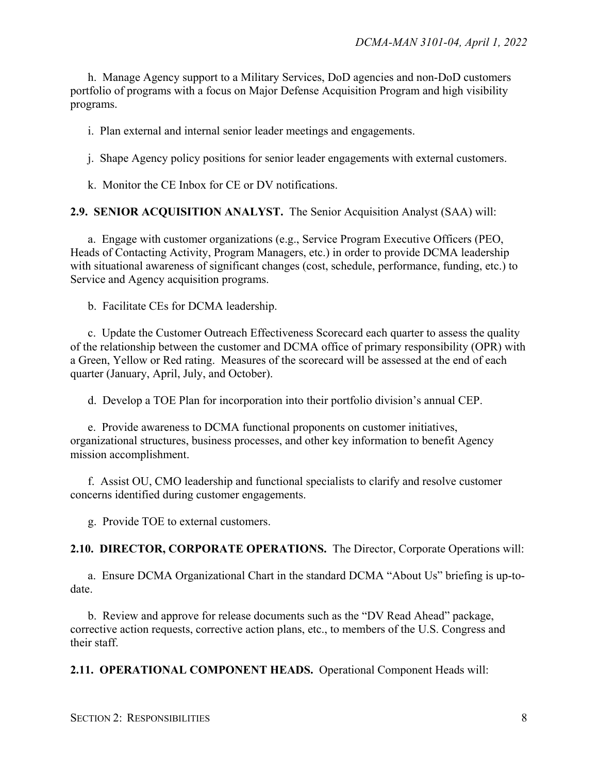h. Manage Agency support to a Military Services, DoD agencies and non-DoD customers portfolio of programs with a focus on Major Defense Acquisition Program and high visibility programs.

i. Plan external and internal senior leader meetings and engagements.

j. Shape Agency policy positions for senior leader engagements with external customers.

k. Monitor the CE Inbox for CE or DV notifications.

#### <span id="page-7-0"></span>**2.9. SENIOR ACQUISITION ANALYST.** The Senior Acquisition Analyst (SAA) will:

a. Engage with customer organizations (e.g., Service Program Executive Officers (PEO, Heads of Contacting Activity, Program Managers, etc.) in order to provide DCMA leadership with situational awareness of significant changes (cost, schedule, performance, funding, etc.) to Service and Agency acquisition programs.

b. Facilitate CEs for DCMA leadership.

c. Update the Customer Outreach Effectiveness Scorecard each quarter to assess the quality of the relationship between the customer and DCMA office of primary responsibility (OPR) with a Green, Yellow or Red rating. Measures of the scorecard will be assessed at the end of each quarter (January, April, July, and October).

d. Develop a TOE Plan for incorporation into their portfolio division's annual CEP.

e. Provide awareness to DCMA functional proponents on customer initiatives, organizational structures, business processes, and other key information to benefit Agency mission accomplishment.

f. Assist OU, CMO leadership and functional specialists to clarify and resolve customer concerns identified during customer engagements.

g. Provide TOE to external customers.

<span id="page-7-1"></span>**2.10. DIRECTOR, CORPORATE OPERATIONS.** The Director, Corporate Operations will:

a. Ensure DCMA Organizational Chart in the standard DCMA "About Us" briefing is up-todate.

b. Review and approve for release documents such as the "DV Read Ahead" package, corrective action requests, corrective action plans, etc., to members of the U.S. Congress and their staff.

<span id="page-7-2"></span>**2.11. OPERATIONAL COMPONENT HEADS.** Operational Component Heads will: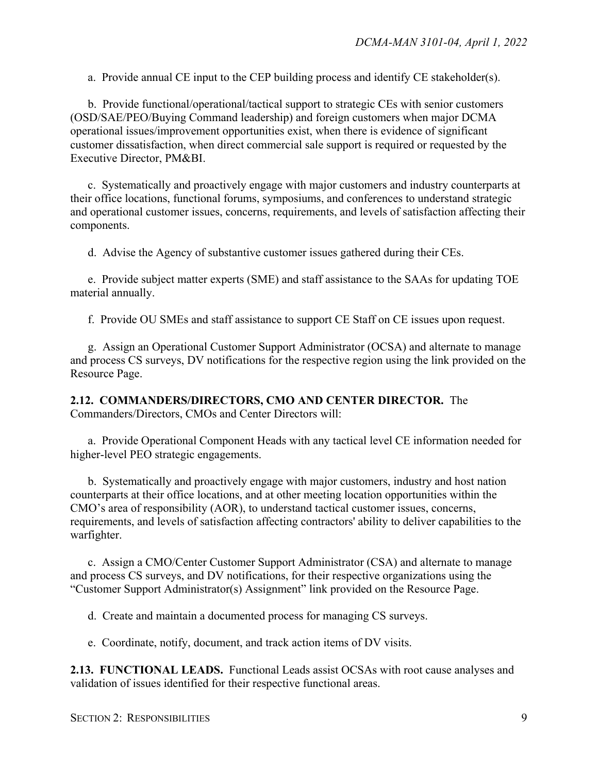a. Provide annual CE input to the CEP building process and identify CE stakeholder(s).

b. Provide functional/operational/tactical support to strategic CEs with senior customers (OSD/SAE/PEO/Buying Command leadership) and foreign customers when major DCMA operational issues/improvement opportunities exist, when there is evidence of significant customer dissatisfaction, when direct commercial sale support is required or requested by the Executive Director, PM&BI.

c. Systematically and proactively engage with major customers and industry counterparts at their office locations, functional forums, symposiums, and conferences to understand strategic and operational customer issues, concerns, requirements, and levels of satisfaction affecting their components.

d. Advise the Agency of substantive customer issues gathered during their CEs.

e. Provide subject matter experts (SME) and staff assistance to the SAAs for updating TOE material annually.

f. Provide OU SMEs and staff assistance to support CE Staff on CE issues upon request.

g. Assign an Operational Customer Support Administrator (OCSA) and alternate to manage and process CS surveys, DV notifications for the respective region using the link provided on the Resource Page.

<span id="page-8-0"></span>**2.12. COMMANDERS/DIRECTORS, CMO AND CENTER DIRECTOR.** The Commanders/Directors, CMOs and Center Directors will:

a. Provide Operational Component Heads with any tactical level CE information needed for higher-level PEO strategic engagements.

b. Systematically and proactively engage with major customers, industry and host nation counterparts at their office locations, and at other meeting location opportunities within the CMO's area of responsibility (AOR), to understand tactical customer issues, concerns, requirements, and levels of satisfaction affecting contractors' ability to deliver capabilities to the warfighter.

c. Assign a CMO/Center Customer Support Administrator (CSA) and alternate to manage and process CS surveys, and DV notifications, for their respective organizations using the "Customer Support Administrator(s) Assignment" link provided on the Resource Page.

d. Create and maintain a documented process for managing CS surveys.

e. Coordinate, notify, document, and track action items of DV visits.

<span id="page-8-1"></span>**2.13. FUNCTIONAL LEADS.** Functional Leads assist OCSAs with root cause analyses and validation of issues identified for their respective functional areas.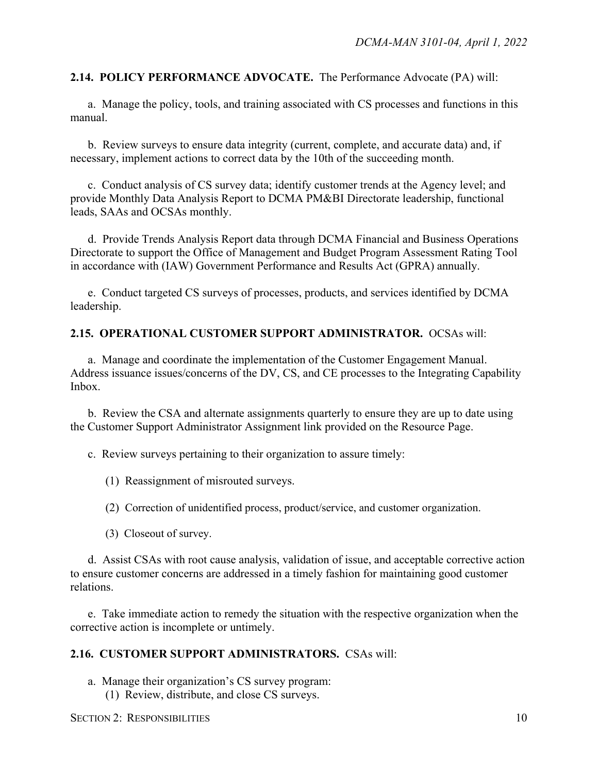<span id="page-9-0"></span>**2.14. POLICY PERFORMANCE ADVOCATE.** The Performance Advocate (PA) will:

a. Manage the policy, tools, and training associated with CS processes and functions in this manual.

b. Review surveys to ensure data integrity (current, complete, and accurate data) and, if necessary, implement actions to correct data by the 10th of the succeeding month.

c. Conduct analysis of CS survey data; identify customer trends at the Agency level; and provide Monthly Data Analysis Report to DCMA PM&BI Directorate leadership, functional leads, SAAs and OCSAs monthly.

d. Provide Trends Analysis Report data through DCMA Financial and Business Operations Directorate to support the Office of Management and Budget Program Assessment Rating Tool in accordance with (IAW) Government Performance and Results Act (GPRA) annually.

e. Conduct targeted CS surveys of processes, products, and services identified by DCMA leadership.

### <span id="page-9-1"></span>**2.15. OPERATIONAL CUSTOMER SUPPORT ADMINISTRATOR.** OCSAs will:

a. Manage and coordinate the implementation of the Customer Engagement Manual. Address issuance issues/concerns of the DV, CS, and CE processes to the Integrating Capability Inbox.

b. Review the CSA and alternate assignments quarterly to ensure they are up to date using the Customer Support Administrator Assignment link provided on the Resource Page.

c. Review surveys pertaining to their organization to assure timely:

- (1) Reassignment of misrouted surveys.
- (2) Correction of unidentified process, product/service, and customer organization.
- (3) Closeout of survey.

d. Assist CSAs with root cause analysis, validation of issue, and acceptable corrective action to ensure customer concerns are addressed in a timely fashion for maintaining good customer relations.

e. Take immediate action to remedy the situation with the respective organization when the corrective action is incomplete or untimely.

#### <span id="page-9-2"></span>**2.16. CUSTOMER SUPPORT ADMINISTRATORS.** CSAs will:

- a. Manage their organization's CS survey program:
	- (1) Review, distribute, and close CS surveys.

SECTION 2: RESPONSIBILITIES 10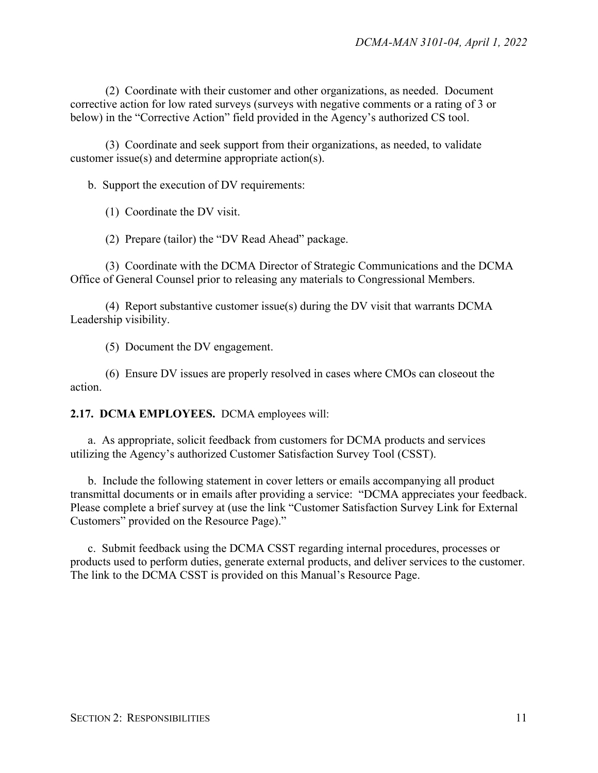(2) Coordinate with their customer and other organizations, as needed. Document corrective action for low rated surveys (surveys with negative comments or a rating of 3 or below) in the "Corrective Action" field provided in the Agency's authorized CS tool.

(3) Coordinate and seek support from their organizations, as needed, to validate customer issue(s) and determine appropriate action(s).

b. Support the execution of DV requirements:

(1) Coordinate the DV visit.

(2) Prepare (tailor) the "DV Read Ahead" package.

(3) Coordinate with the DCMA Director of Strategic Communications and the DCMA Office of General Counsel prior to releasing any materials to Congressional Members.

(4) Report substantive customer issue(s) during the DV visit that warrants DCMA Leadership visibility.

(5) Document the DV engagement.

(6) Ensure DV issues are properly resolved in cases where CMOs can closeout the action.

<span id="page-10-0"></span>**2.17. DCMA EMPLOYEES.** DCMA employees will:

a. As appropriate, solicit feedback from customers for DCMA products and services utilizing the Agency's authorized Customer Satisfaction Survey Tool (CSST).

b. Include the following statement in cover letters or emails accompanying all product transmittal documents or in emails after providing a service: "DCMA appreciates your feedback. Please complete a brief survey at (use the link "Customer Satisfaction Survey Link for External Customers" provided on the Resource Page)."

c. Submit feedback using the DCMA CSST regarding internal procedures, processes or products used to perform duties, generate external products, and deliver services to the customer. The link to the DCMA CSST is provided on this Manual's Resource Page.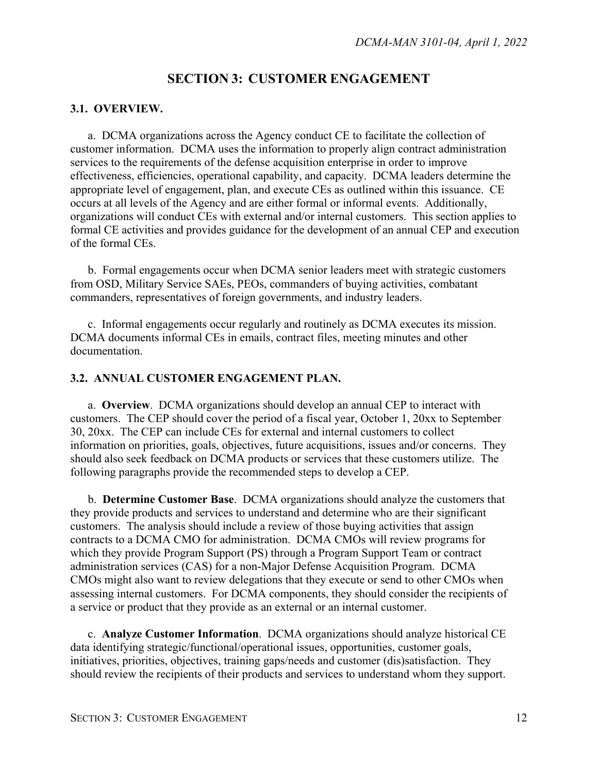### **SECTION 3: CUSTOMER ENGAGEMENT**

#### <span id="page-11-1"></span><span id="page-11-0"></span>**3.1. OVERVIEW.**

a. DCMA organizations across the Agency conduct CE to facilitate the collection of customer information. DCMA uses the information to properly align contract administration services to the requirements of the defense acquisition enterprise in order to improve effectiveness, efficiencies, operational capability, and capacity. DCMA leaders determine the appropriate level of engagement, plan, and execute CEs as outlined within this issuance. CE occurs at all levels of the Agency and are either formal or informal events. Additionally, organizations will conduct CEs with external and/or internal customers. This section applies to formal CE activities and provides guidance for the development of an annual CEP and execution of the formal CEs.

b. Formal engagements occur when DCMA senior leaders meet with strategic customers from OSD, Military Service SAEs, PEOs, commanders of buying activities, combatant commanders, representatives of foreign governments, and industry leaders.

c. Informal engagements occur regularly and routinely as DCMA executes its mission. DCMA documents informal CEs in emails, contract files, meeting minutes and other documentation.

#### <span id="page-11-2"></span>**3.2. ANNUAL CUSTOMER ENGAGEMENT PLAN.**

a. **Overview**. DCMA organizations should develop an annual CEP to interact with customers. The CEP should cover the period of a fiscal year, October 1, 20xx to September 30, 20xx. The CEP can include CEs for external and internal customers to collect information on priorities, goals, objectives, future acquisitions, issues and/or concerns. They should also seek feedback on DCMA products or services that these customers utilize. The following paragraphs provide the recommended steps to develop a CEP.

b. **Determine Customer Base**. DCMA organizations should analyze the customers that they provide products and services to understand and determine who are their significant customers. The analysis should include a review of those buying activities that assign contracts to a DCMA CMO for administration. DCMA CMOs will review programs for which they provide Program Support (PS) through a Program Support Team or contract administration services (CAS) for a non-Major Defense Acquisition Program. DCMA CMOs might also want to review delegations that they execute or send to other CMOs when assessing internal customers. For DCMA components, they should consider the recipients of a service or product that they provide as an external or an internal customer.

c. **Analyze Customer Information**. DCMA organizations should analyze historical CE data identifying strategic/functional/operational issues, opportunities, customer goals, initiatives, priorities, objectives, training gaps/needs and customer (dis)satisfaction. They should review the recipients of their products and services to understand whom they support.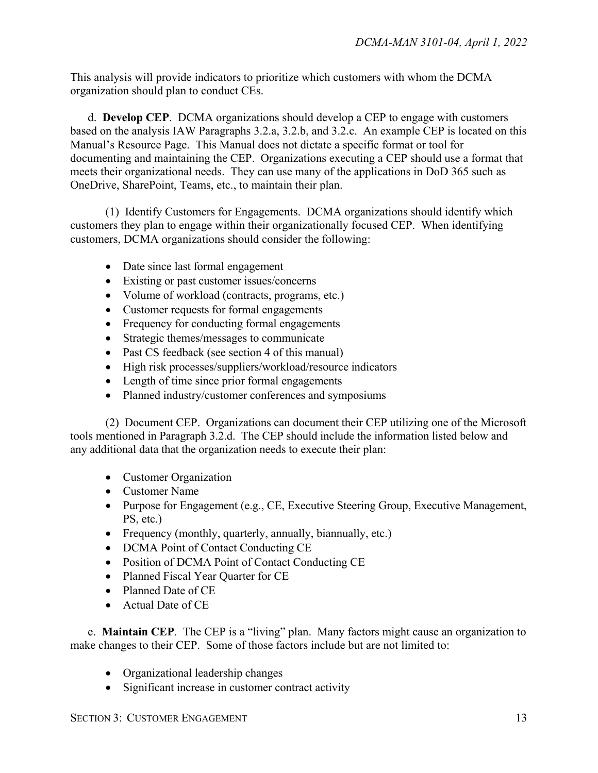This analysis will provide indicators to prioritize which customers with whom the DCMA organization should plan to conduct CEs.

d. **Develop CEP**. DCMA organizations should develop a CEP to engage with customers based on the analysis IAW Paragraphs 3.2.a, 3.2.b, and 3.2.c. An example CEP is located on this Manual's Resource Page. This Manual does not dictate a specific format or tool for documenting and maintaining the CEP. Organizations executing a CEP should use a format that meets their organizational needs. They can use many of the applications in DoD 365 such as OneDrive, SharePoint, Teams, etc., to maintain their plan.

(1) Identify Customers for Engagements. DCMA organizations should identify which customers they plan to engage within their organizationally focused CEP. When identifying customers, DCMA organizations should consider the following:

- Date since last formal engagement
- Existing or past customer issues/concerns
- Volume of workload (contracts, programs, etc.)
- Customer requests for formal engagements
- Frequency for conducting formal engagements
- Strategic themes/messages to communicate
- Past CS feedback (see section 4 of this manual)
- High risk processes/suppliers/workload/resource indicators
- Length of time since prior formal engagements
- Planned industry/customer conferences and symposiums

(2) Document CEP. Organizations can document their CEP utilizing one of the Microsoft tools mentioned in Paragraph 3.2.d. The CEP should include the information listed below and any additional data that the organization needs to execute their plan:

- Customer Organization
- Customer Name
- Purpose for Engagement (e.g., CE, Executive Steering Group, Executive Management, PS, etc.)
- Frequency (monthly, quarterly, annually, biannually, etc.)
- DCMA Point of Contact Conducting CE
- Position of DCMA Point of Contact Conducting CE
- Planned Fiscal Year Quarter for CE
- Planned Date of CE
- Actual Date of CE

e. **Maintain CEP**. The CEP is a "living" plan. Many factors might cause an organization to make changes to their CEP. Some of those factors include but are not limited to:

- Organizational leadership changes
- Significant increase in customer contract activity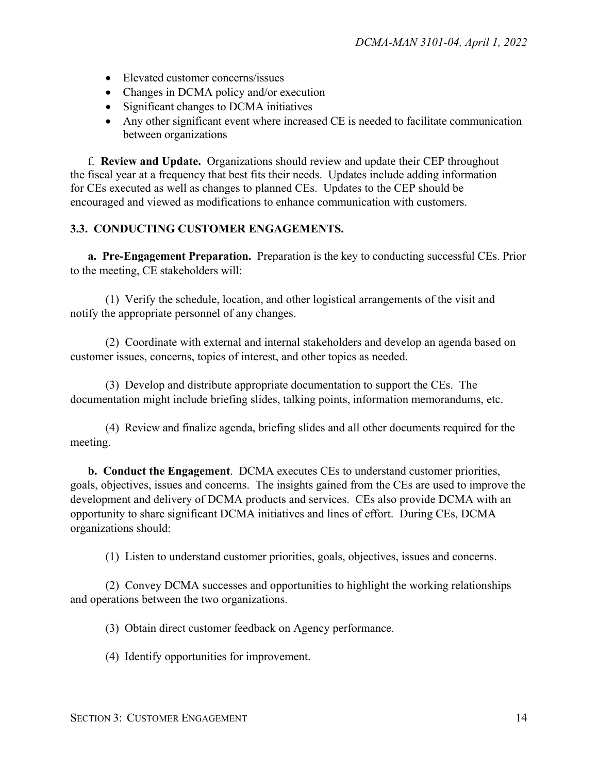- Elevated customer concerns/issues
- Changes in DCMA policy and/or execution
- Significant changes to DCMA initiatives
- Any other significant event where increased CE is needed to facilitate communication between organizations

f. **Review and Update.** Organizations should review and update their CEP throughout the fiscal year at a frequency that best fits their needs. Updates include adding information for CEs executed as well as changes to planned CEs. Updates to the CEP should be encouraged and viewed as modifications to enhance communication with customers.

### <span id="page-13-0"></span>**3.3. CONDUCTING CUSTOMER ENGAGEMENTS.**

**a. Pre-Engagement Preparation.** Preparation is the key to conducting successful CEs. Prior to the meeting, CE stakeholders will:

(1) Verify the schedule, location, and other logistical arrangements of the visit and notify the appropriate personnel of any changes.

(2) Coordinate with external and internal stakeholders and develop an agenda based on customer issues, concerns, topics of interest, and other topics as needed.

(3) Develop and distribute appropriate documentation to support the CEs. The documentation might include briefing slides, talking points, information memorandums, etc.

(4) Review and finalize agenda, briefing slides and all other documents required for the meeting.

**b. Conduct the Engagement**. DCMA executes CEs to understand customer priorities, goals, objectives, issues and concerns. The insights gained from the CEs are used to improve the development and delivery of DCMA products and services. CEs also provide DCMA with an opportunity to share significant DCMA initiatives and lines of effort. During CEs, DCMA organizations should:

(1) Listen to understand customer priorities, goals, objectives, issues and concerns.

(2) Convey DCMA successes and opportunities to highlight the working relationships and operations between the two organizations.

(3) Obtain direct customer feedback on Agency performance.

(4) Identify opportunities for improvement.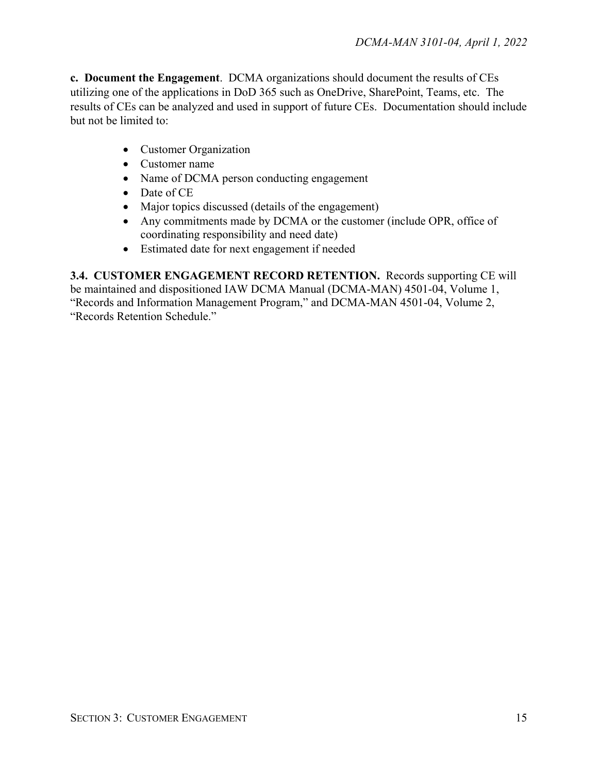**c. Document the Engagement**. DCMA organizations should document the results of CEs utilizing one of the applications in DoD 365 such as OneDrive, SharePoint, Teams, etc. The results of CEs can be analyzed and used in support of future CEs. Documentation should include but not be limited to:

- Customer Organization
- Customer name
- Name of DCMA person conducting engagement
- Date of CE
- Major topics discussed (details of the engagement)
- Any commitments made by DCMA or the customer (include OPR, office of coordinating responsibility and need date)
- Estimated date for next engagement if needed

<span id="page-14-0"></span>**3.4. CUSTOMER ENGAGEMENT RECORD RETENTION.** Records supporting CE will be maintained and dispositioned IAW DCMA Manual (DCMA-MAN) 4501-04, Volume 1, "Records and Information Management Program," and DCMA-MAN 4501-04, Volume 2, "Records Retention Schedule."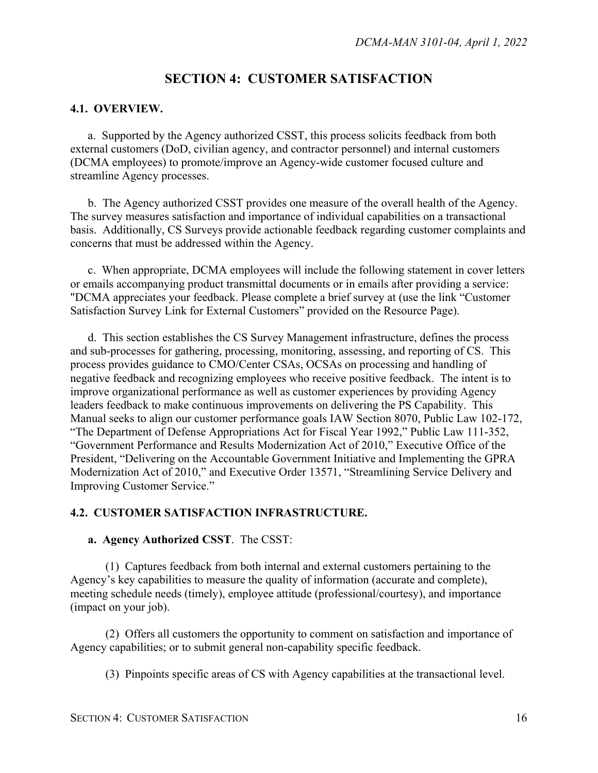# **SECTION 4: CUSTOMER SATISFACTION**

#### <span id="page-15-1"></span><span id="page-15-0"></span>**4.1. OVERVIEW.**

a. Supported by the Agency authorized CSST, this process solicits feedback from both external customers (DoD, civilian agency, and contractor personnel) and internal customers (DCMA employees) to promote/improve an Agency-wide customer focused culture and streamline Agency processes.

b. The Agency authorized CSST provides one measure of the overall health of the Agency. The survey measures satisfaction and importance of individual capabilities on a transactional basis. Additionally, CS Surveys provide actionable feedback regarding customer complaints and concerns that must be addressed within the Agency.

c. When appropriate, DCMA employees will include the following statement in cover letters or emails accompanying product transmittal documents or in emails after providing a service: "DCMA appreciates your feedback. Please complete a brief survey at (use the link "Customer Satisfaction Survey Link for External Customers" provided on the Resource Page).

d. This section establishes the CS Survey Management infrastructure, defines the process and sub-processes for gathering, processing, monitoring, assessing, and reporting of CS. This process provides guidance to CMO/Center CSAs, OCSAs on processing and handling of negative feedback and recognizing employees who receive positive feedback. The intent is to improve organizational performance as well as customer experiences by providing Agency leaders feedback to make continuous improvements on delivering the PS Capability. This Manual seeks to align our customer performance goals IAW Section 8070, Public Law 102-172, "The Department of Defense Appropriations Act for Fiscal Year 1992," Public Law 111-352, "Government Performance and Results Modernization Act of 2010," Executive Office of the President, "Delivering on the Accountable Government Initiative and Implementing the GPRA Modernization Act of 2010," and Executive Order 13571, "Streamlining Service Delivery and Improving Customer Service."

#### <span id="page-15-2"></span>**4.2. CUSTOMER SATISFACTION INFRASTRUCTURE.**

#### **a. Agency Authorized CSST**. The CSST:

(1) Captures feedback from both internal and external customers pertaining to the Agency's key capabilities to measure the quality of information (accurate and complete), meeting schedule needs (timely), employee attitude (professional/courtesy), and importance (impact on your job).

(2) Offers all customers the opportunity to comment on satisfaction and importance of Agency capabilities; or to submit general non-capability specific feedback.

(3) Pinpoints specific areas of CS with Agency capabilities at the transactional level.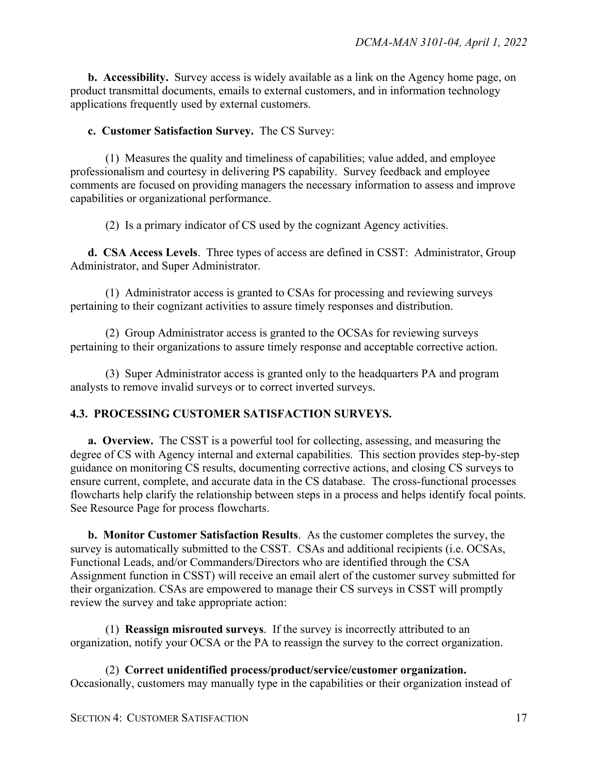**b. Accessibility.** Survey access is widely available as a link on the Agency home page, on product transmittal documents, emails to external customers, and in information technology applications frequently used by external customers.

**c. Customer Satisfaction Survey.** The CS Survey:

(1) Measures the quality and timeliness of capabilities; value added, and employee professionalism and courtesy in delivering PS capability. Survey feedback and employee comments are focused on providing managers the necessary information to assess and improve capabilities or organizational performance.

(2) Is a primary indicator of CS used by the cognizant Agency activities.

**d. CSA Access Levels**. Three types of access are defined in CSST: Administrator, Group Administrator, and Super Administrator.

(1) Administrator access is granted to CSAs for processing and reviewing surveys pertaining to their cognizant activities to assure timely responses and distribution.

(2) Group Administrator access is granted to the OCSAs for reviewing surveys pertaining to their organizations to assure timely response and acceptable corrective action.

(3) Super Administrator access is granted only to the headquarters PA and program analysts to remove invalid surveys or to correct inverted surveys.

#### <span id="page-16-0"></span>**4.3. PROCESSING CUSTOMER SATISFACTION SURVEYS.**

**a. Overview.** The CSST is a powerful tool for collecting, assessing, and measuring the degree of CS with Agency internal and external capabilities. This section provides step-by-step guidance on monitoring CS results, documenting corrective actions, and closing CS surveys to ensure current, complete, and accurate data in the CS database. The cross-functional processes flowcharts help clarify the relationship between steps in a process and helps identify focal points. See Resource Page for process flowcharts.

**b. Monitor Customer Satisfaction Results**. As the customer completes the survey, the survey is automatically submitted to the CSST. CSAs and additional recipients (i.e. OCSAs, Functional Leads, and/or Commanders/Directors who are identified through the CSA Assignment function in CSST) will receive an email alert of the customer survey submitted for their organization. CSAs are empowered to manage their CS surveys in CSST will promptly review the survey and take appropriate action:

(1) **Reassign misrouted surveys**. If the survey is incorrectly attributed to an organization, notify your OCSA or the PA to reassign the survey to the correct organization.

(2) **Correct unidentified process/product/service/customer organization.**  Occasionally, customers may manually type in the capabilities or their organization instead of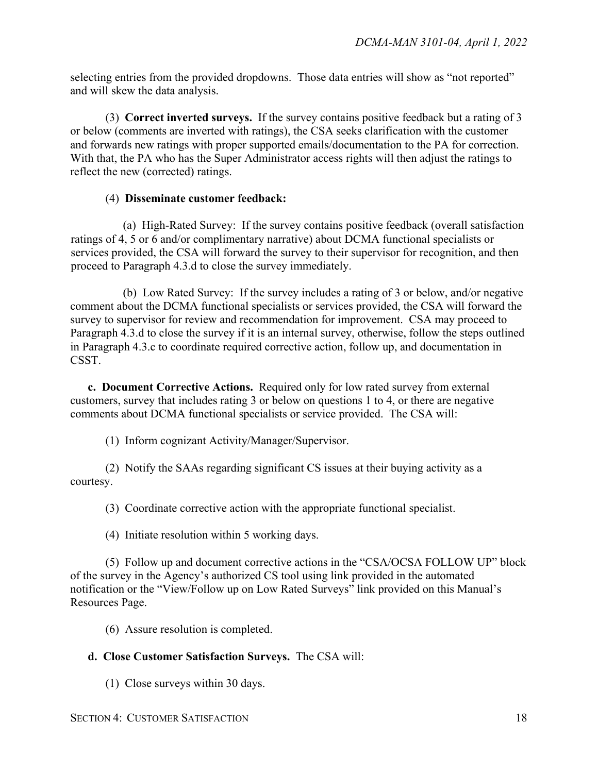selecting entries from the provided dropdowns. Those data entries will show as "not reported" and will skew the data analysis.

(3) **Correct inverted surveys.** If the survey contains positive feedback but a rating of 3 or below (comments are inverted with ratings), the CSA seeks clarification with the customer and forwards new ratings with proper supported emails/documentation to the PA for correction. With that, the PA who has the Super Administrator access rights will then adjust the ratings to reflect the new (corrected) ratings.

#### (4) **Disseminate customer feedback:**

(a) High-Rated Survey: If the survey contains positive feedback (overall satisfaction ratings of 4, 5 or 6 and/or complimentary narrative) about DCMA functional specialists or services provided, the CSA will forward the survey to their supervisor for recognition, and then proceed to Paragraph 4.3.d to close the survey immediately.

(b) Low Rated Survey: If the survey includes a rating of 3 or below, and/or negative comment about the DCMA functional specialists or services provided, the CSA will forward the survey to supervisor for review and recommendation for improvement. CSA may proceed to Paragraph 4.3.d to close the survey if it is an internal survey, otherwise, follow the steps outlined in Paragraph 4.3.c to coordinate required corrective action, follow up, and documentation in CSST.

**c. Document Corrective Actions.** Required only for low rated survey from external customers, survey that includes rating 3 or below on questions 1 to 4, or there are negative comments about DCMA functional specialists or service provided. The CSA will:

(1) Inform cognizant Activity/Manager/Supervisor.

(2) Notify the SAAs regarding significant CS issues at their buying activity as a courtesy.

(3) Coordinate corrective action with the appropriate functional specialist.

(4) Initiate resolution within 5 working days.

(5) Follow up and document corrective actions in the "CSA/OCSA FOLLOW UP" block of the survey in the Agency's authorized CS tool using link provided in the automated notification or the "View/Follow up on Low Rated Surveys" link provided on this Manual's Resources Page.

(6) Assure resolution is completed.

#### **d. Close Customer Satisfaction Surveys.** The CSA will:

(1) Close surveys within 30 days.

#### SECTION 4: CUSTOMER SATISFACTION 18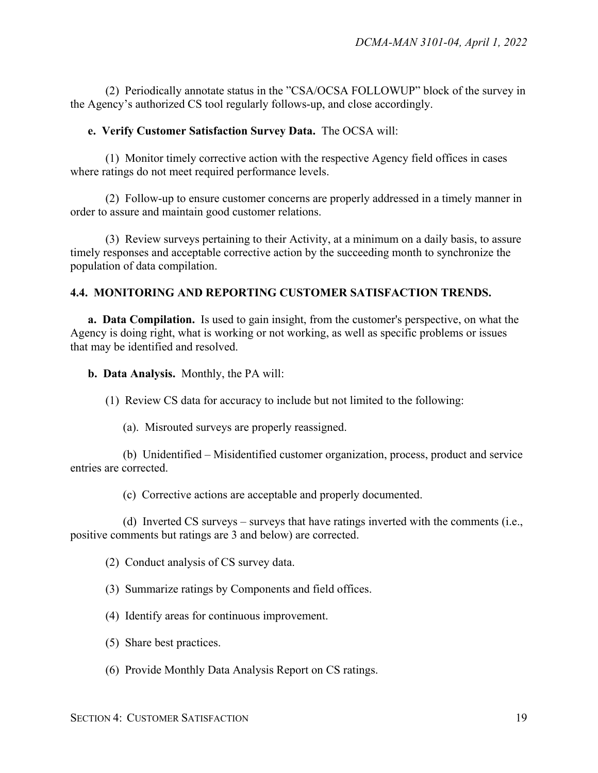(2) Periodically annotate status in the "CSA/OCSA FOLLOWUP" block of the survey in the Agency's authorized CS tool regularly follows-up, and close accordingly.

#### **e. Verify Customer Satisfaction Survey Data.** The OCSA will:

(1) Monitor timely corrective action with the respective Agency field offices in cases where ratings do not meet required performance levels.

(2) Follow-up to ensure customer concerns are properly addressed in a timely manner in order to assure and maintain good customer relations.

(3) Review surveys pertaining to their Activity, at a minimum on a daily basis, to assure timely responses and acceptable corrective action by the succeeding month to synchronize the population of data compilation.

#### <span id="page-18-0"></span>**4.4. MONITORING AND REPORTING CUSTOMER SATISFACTION TRENDS.**

**a. Data Compilation.** Is used to gain insight, from the customer's perspective, on what the Agency is doing right, what is working or not working, as well as specific problems or issues that may be identified and resolved.

**b. Data Analysis.** Monthly, the PA will:

(1) Review CS data for accuracy to include but not limited to the following:

(a). Misrouted surveys are properly reassigned.

(b) Unidentified – Misidentified customer organization, process, product and service entries are corrected.

(c) Corrective actions are acceptable and properly documented.

(d) Inverted CS surveys – surveys that have ratings inverted with the comments (i.e., positive comments but ratings are 3 and below) are corrected.

(2) Conduct analysis of CS survey data.

(3) Summarize ratings by Components and field offices.

- (4) Identify areas for continuous improvement.
- (5) Share best practices.
- (6) Provide Monthly Data Analysis Report on CS ratings.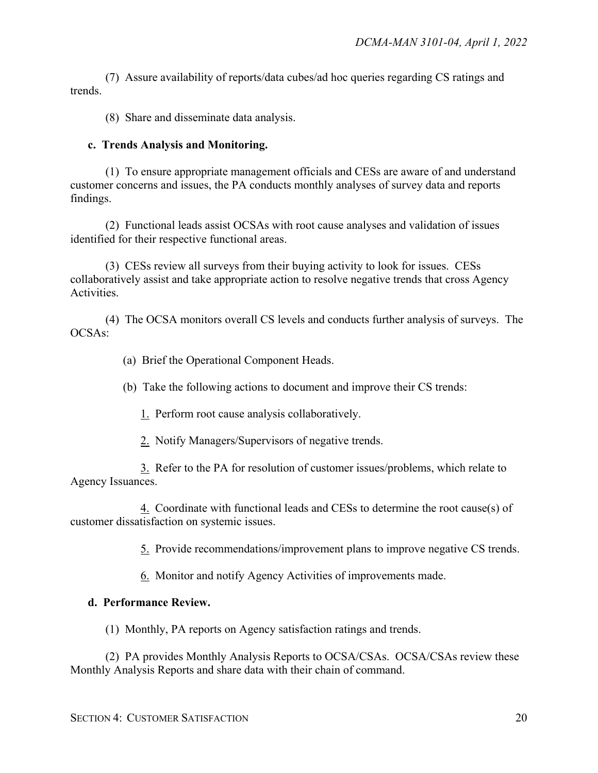(7) Assure availability of reports/data cubes/ad hoc queries regarding CS ratings and trends.

(8) Share and disseminate data analysis.

#### **c. Trends Analysis and Monitoring.**

(1) To ensure appropriate management officials and CESs are aware of and understand customer concerns and issues, the PA conducts monthly analyses of survey data and reports findings.

(2) Functional leads assist OCSAs with root cause analyses and validation of issues identified for their respective functional areas.

(3) CESs review all surveys from their buying activity to look for issues. CESs collaboratively assist and take appropriate action to resolve negative trends that cross Agency Activities.

(4) The OCSA monitors overall CS levels and conducts further analysis of surveys. The OCSAs:

(a) Brief the Operational Component Heads.

(b) Take the following actions to document and improve their CS trends:

- 1. Perform root cause analysis collaboratively.
- 2. Notify Managers/Supervisors of negative trends.

3. Refer to the PA for resolution of customer issues/problems, which relate to Agency Issuances.

4. Coordinate with functional leads and CESs to determine the root cause(s) of customer dissatisfaction on systemic issues.

5. Provide recommendations/improvement plans to improve negative CS trends.

6. Monitor and notify Agency Activities of improvements made.

#### **d. Performance Review.**

(1) Monthly, PA reports on Agency satisfaction ratings and trends.

(2) PA provides Monthly Analysis Reports to OCSA/CSAs. OCSA/CSAs review these Monthly Analysis Reports and share data with their chain of command.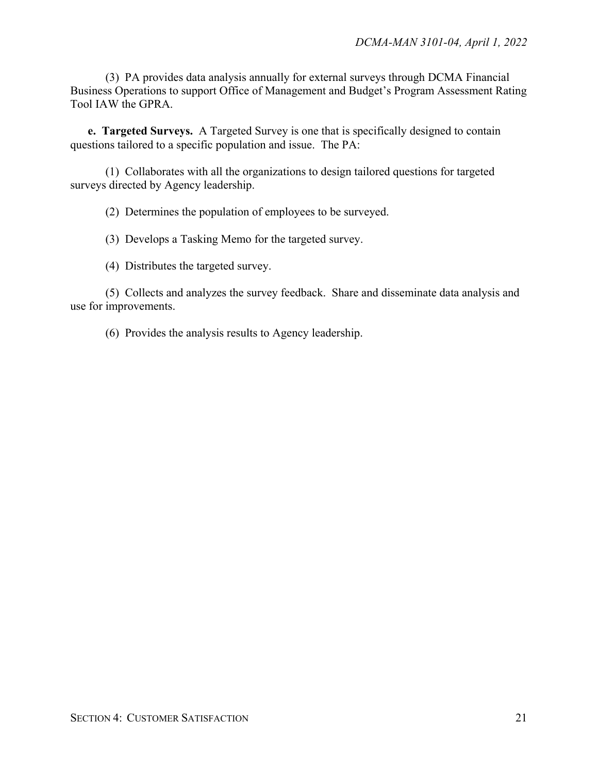(3) PA provides data analysis annually for external surveys through DCMA Financial Business Operations to support Office of Management and Budget's Program Assessment Rating Tool IAW the GPRA.

**e. Targeted Surveys.** A Targeted Survey is one that is specifically designed to contain questions tailored to a specific population and issue. The PA:

(1) Collaborates with all the organizations to design tailored questions for targeted surveys directed by Agency leadership.

(2) Determines the population of employees to be surveyed.

(3) Develops a Tasking Memo for the targeted survey.

(4) Distributes the targeted survey.

(5) Collects and analyzes the survey feedback. Share and disseminate data analysis and use for improvements.

(6) Provides the analysis results to Agency leadership.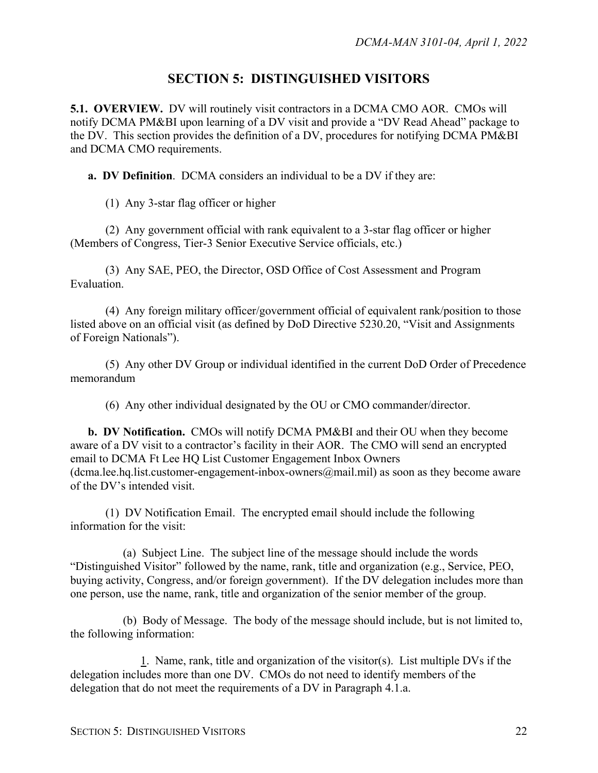### **SECTION 5: DISTINGUISHED VISITORS**

<span id="page-21-1"></span><span id="page-21-0"></span>**5.1. OVERVIEW.** DV will routinely visit contractors in a DCMA CMO AOR. CMOs will notify DCMA PM&BI upon learning of a DV visit and provide a "DV Read Ahead" package to the DV. This section provides the definition of a DV, procedures for notifying DCMA PM&BI and DCMA CMO requirements.

**a. DV Definition**. DCMA considers an individual to be a DV if they are:

(1) Any 3-star flag officer or higher

(2) Any government official with rank equivalent to a 3-star flag officer or higher (Members of Congress, Tier-3 Senior Executive Service officials, etc.)

(3) Any SAE, PEO, the Director, OSD Office of Cost Assessment and Program Evaluation.

(4) Any foreign military officer/government official of equivalent rank/position to those listed above on an official visit (as defined by DoD Directive 5230.20, "Visit and Assignments of Foreign Nationals").

(5) Any other DV Group or individual identified in the current DoD Order of Precedence memorandum

(6) Any other individual designated by the OU or CMO commander/director.

**b. DV Notification.** CMOs will notify DCMA PM&BI and their OU when they become aware of a DV visit to a contractor's facility in their AOR. The CMO will send an encrypted email to DCMA Ft Lee HQ List Customer Engagement Inbox Owners (dcma.lee.hq.list.customer-engagement-inbox-owners $(\hat{\omega}$ mail.mil) as soon as they become aware of the DV's intended visit.

(1) DV Notification Email. The encrypted email should include the following information for the visit:

(a) Subject Line. The subject line of the message should include the words "Distinguished Visitor" followed by the name, rank, title and organization (e.g., Service, PEO, buying activity, Congress, and/or foreign *g*overnment). If the DV delegation includes more than one person, use the name, rank, title and organization of the senior member of the group.

(b) Body of Message. The body of the message should include, but is not limited to, the following information:

1. Name, rank, title and organization of the visitor(s). List multiple DVs if the delegation includes more than one DV. CMOs do not need to identify members of the delegation that do not meet the requirements of a DV in Paragraph 4.1.a.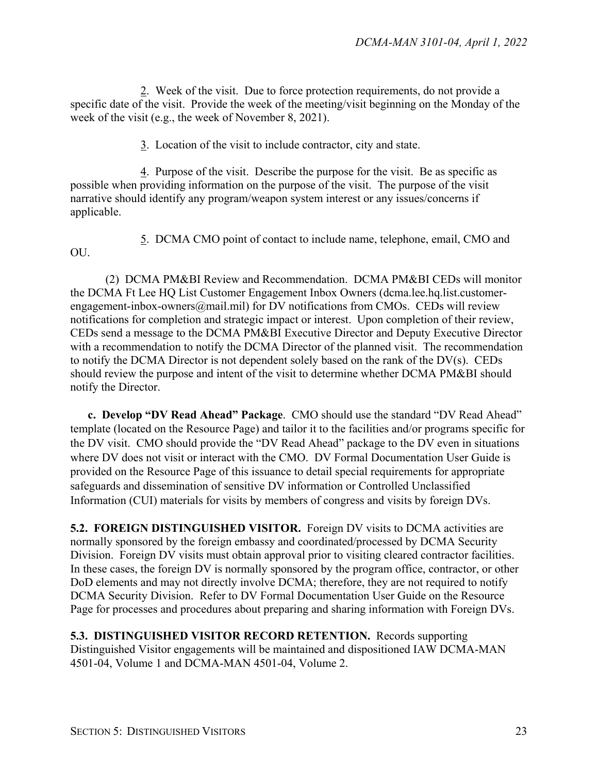2. Week of the visit. Due to force protection requirements, do not provide a specific date of the visit. Provide the week of the meeting/visit beginning on the Monday of the week of the visit (e.g., the week of November 8, 2021).

3. Location of the visit to include contractor, city and state.

4. Purpose of the visit. Describe the purpose for the visit. Be as specific as possible when providing information on the purpose of the visit. The purpose of the visit narrative should identify any program/weapon system interest or any issues/concerns if applicable.

OU.

5. DCMA CMO point of contact to include name, telephone, email, CMO and

(2) DCMA PM&BI Review and Recommendation. DCMA PM&BI CEDs will monitor the DCMA Ft Lee HQ List Customer Engagement Inbox Owners (dcma.lee.hq.list.customerengagement-inbox-owners@mail.mil) for DV notifications from CMOs. CEDs will review notifications for completion and strategic impact or interest. Upon completion of their review, CEDs send a message to the DCMA PM&BI Executive Director and Deputy Executive Director with a recommendation to notify the DCMA Director of the planned visit. The recommendation to notify the DCMA Director is not dependent solely based on the rank of the DV(s). CEDs should review the purpose and intent of the visit to determine whether DCMA PM&BI should notify the Director.

**c. Develop "DV Read Ahead" Package**. CMO should use the standard "DV Read Ahead" template (located on the Resource Page) and tailor it to the facilities and/or programs specific for the DV visit. CMO should provide the "DV Read Ahead" package to the DV even in situations where DV does not visit or interact with the CMO. DV Formal Documentation User Guide is provided on the Resource Page of this issuance to detail special requirements for appropriate safeguards and dissemination of sensitive DV information or Controlled Unclassified Information (CUI) materials for visits by members of congress and visits by foreign DVs.

<span id="page-22-0"></span>**5.2. FOREIGN DISTINGUISHED VISITOR.** Foreign DV visits to DCMA activities are normally sponsored by the foreign embassy and coordinated/processed by DCMA Security Division. Foreign DV visits must obtain approval prior to visiting cleared contractor facilities. In these cases, the foreign DV is normally sponsored by the program office, contractor, or other DoD elements and may not directly involve DCMA; therefore, they are not required to notify DCMA Security Division. Refer to DV Formal Documentation User Guide on the Resource Page for processes and procedures about preparing and sharing information with Foreign DVs.

<span id="page-22-1"></span>**5.3. DISTINGUISHED VISITOR RECORD RETENTION.** Records supporting Distinguished Visitor engagements will be maintained and dispositioned IAW DCMA-MAN 4501-04, Volume 1 and DCMA-MAN 4501-04, Volume 2.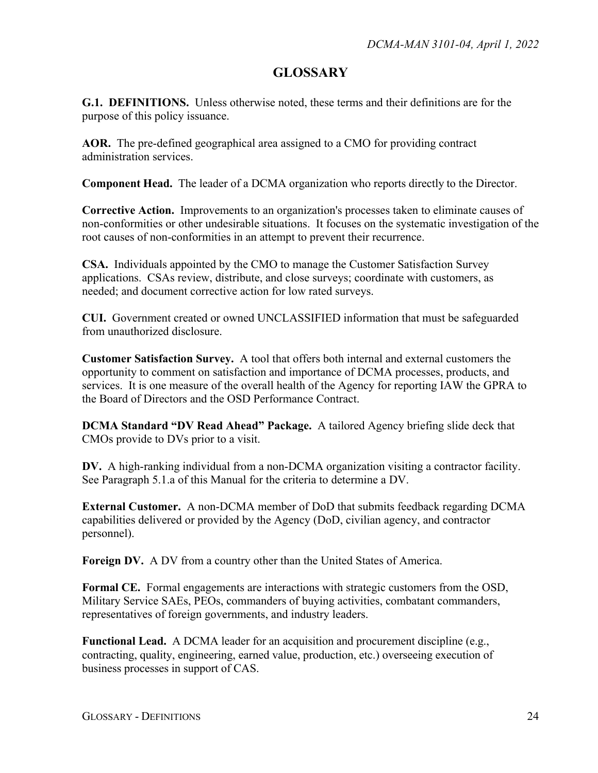## **GLOSSARY**

<span id="page-23-1"></span><span id="page-23-0"></span>**G.1. DEFINITIONS.** Unless otherwise noted, these terms and their definitions are for the purpose of this policy issuance.

**AOR.** The pre-defined geographical area assigned to a CMO for providing contract administration services.

**Component Head.** The leader of a DCMA organization who reports directly to the Director.

**Corrective Action.** Improvements to an organization's processes taken to eliminate causes of non-conformities or other undesirable situations. It focuses on the systematic investigation of the root causes of non-conformities in an attempt to prevent their recurrence.

**CSA.** Individuals appointed by the CMO to manage the Customer Satisfaction Survey applications. CSAs review, distribute, and close surveys; coordinate with customers, as needed; and document corrective action for low rated surveys.

**CUI.** Government created or owned UNCLASSIFIED information that must be safeguarded from unauthorized disclosure.

**Customer Satisfaction Survey.** A tool that offers both internal and external customers the opportunity to comment on satisfaction and importance of DCMA processes, products, and services. It is one measure of the overall health of the Agency for reporting IAW the GPRA to the Board of Directors and the OSD Performance Contract.

**DCMA Standard "DV Read Ahead" Package.** A tailored Agency briefing slide deck that CMOs provide to DVs prior to a visit.

**DV.** A high-ranking individual from a non-DCMA organization visiting a contractor facility. See Paragraph 5.1.a of this Manual for the criteria to determine a DV.

**External Customer.** A non-DCMA member of DoD that submits feedback regarding DCMA capabilities delivered or provided by the Agency (DoD, civilian agency, and contractor personnel).

**Foreign DV.** A DV from a country other than the United States of America.

**Formal CE.** Formal engagements are interactions with strategic customers from the OSD, Military Service SAEs, PEOs, commanders of buying activities, combatant commanders, representatives of foreign governments, and industry leaders.

**Functional Lead.** A DCMA leader for an acquisition and procurement discipline (e.g., contracting, quality, engineering, earned value, production, etc.) overseeing execution of business processes in support of CAS.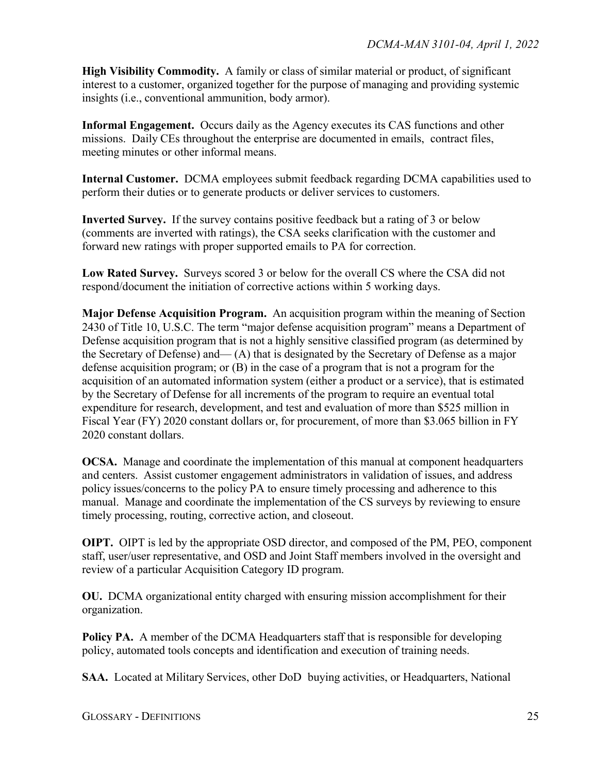**High Visibility Commodity.** A family or class of similar material or product, of significant interest to a customer, organized together for the purpose of managing and providing systemic insights (i.e., conventional ammunition, body armor).

**Informal Engagement.** Occurs daily as the Agency executes its CAS functions and other missions. Daily CEs throughout the enterprise are documented in emails, contract files, meeting minutes or other informal means.

**Internal Customer.** DCMA employees submit feedback regarding DCMA capabilities used to perform their duties or to generate products or deliver services to customers.

**Inverted Survey.** If the survey contains positive feedback but a rating of 3 or below (comments are inverted with ratings), the CSA seeks clarification with the customer and forward new ratings with proper supported emails to PA for correction.

**Low Rated Survey.** Surveys scored 3 or below for the overall CS where the CSA did not respond/document the initiation of corrective actions within 5 working days.

**Major Defense Acquisition Program.** An acquisition program within the meaning of Section 2430 of Title 10, U.S.C. The term "major defense acquisition program" means a Department of Defense acquisition program that is not a highly sensitive classified program (as determined by the Secretary of Defense) and— (A) that is designated by the Secretary of Defense as a major defense acquisition program; or (B) in the case of a program that is not a program for the acquisition of an automated information system (either a product or a service), that is estimated by the Secretary of Defense for all increments of the program to require an eventual total expenditure for research, development, and test and evaluation of more than \$525 million in Fiscal Year (FY) 2020 constant dollars or, for procurement, of more than \$3.065 billion in FY 2020 constant dollars.

**OCSA.** Manage and coordinate the implementation of this manual at component headquarters and centers. Assist customer engagement administrators in validation of issues, and address policy issues/concerns to the policy PA to ensure timely processing and adherence to this manual. Manage and coordinate the implementation of the CS surveys by reviewing to ensure timely processing, routing, corrective action, and closeout.

**OIPT.** OIPT is led by the appropriate OSD director, and composed of the PM, PEO, component staff, user/user representative, and OSD and Joint Staff members involved in the oversight and review of a particular Acquisition Category ID program.

**OU.** DCMA organizational entity charged with ensuring mission accomplishment for their organization.

**Policy PA.** A member of the DCMA Headquarters staff that is responsible for developing policy, automated tools concepts and identification and execution of training needs.

**SAA.** Located at Military Services, other DoD buying activities, or Headquarters, National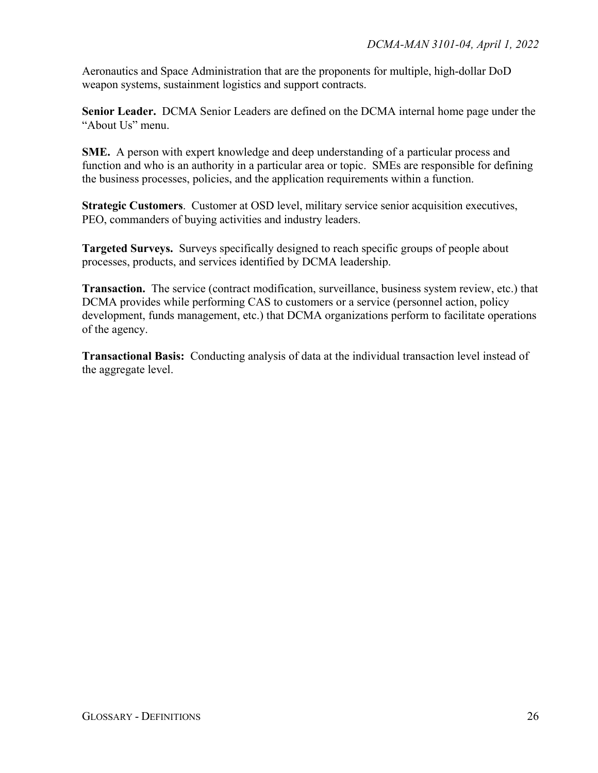Aeronautics and Space Administration that are the proponents for multiple, high-dollar DoD weapon systems, sustainment logistics and support contracts.

**Senior Leader.** DCMA Senior Leaders are defined on the DCMA internal home page under the "About Us" menu.

**SME.** A person with expert knowledge and deep understanding of a particular process and function and who is an authority in a particular area or topic. SMEs are responsible for defining the business processes, policies, and the application requirements within a function.

**Strategic Customers**. Customer at OSD level, military service senior acquisition executives, PEO, commanders of buying activities and industry leaders.

**Targeted Surveys.** Surveys specifically designed to reach specific groups of people about processes, products, and services identified by DCMA leadership.

**Transaction.** The service (contract modification, surveillance, business system review, etc.) that DCMA provides while performing CAS to customers or a service (personnel action, policy development, funds management, etc.) that DCMA organizations perform to facilitate operations of the agency.

**Transactional Basis:** Conducting analysis of data at the individual transaction level instead of the aggregate level.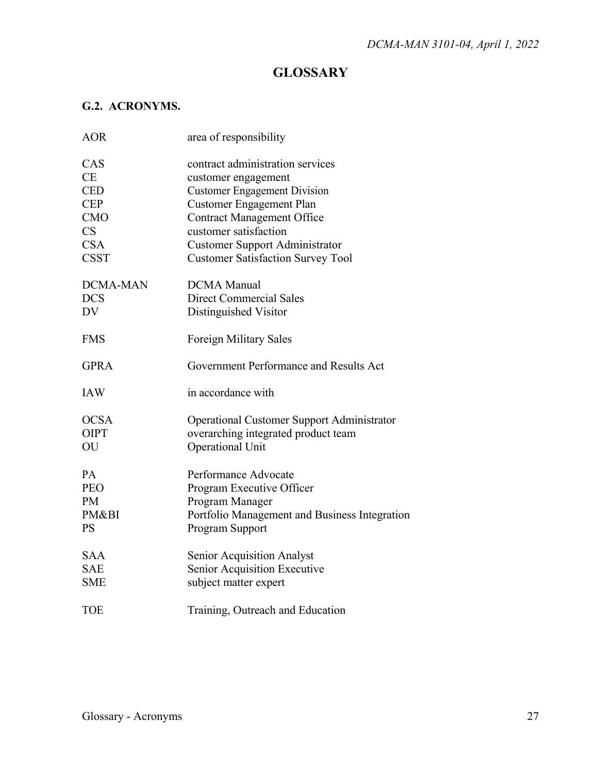# **GLOSSARY**

### <span id="page-26-1"></span><span id="page-26-0"></span>**G.2. ACRONYMS.**

| <b>AOR</b>             | area of responsibility                            |
|------------------------|---------------------------------------------------|
| CAS                    | contract administration services                  |
| <b>CE</b>              | customer engagement                               |
| <b>CED</b>             | <b>Customer Engagement Division</b>               |
| <b>CEP</b>             | <b>Customer Engagement Plan</b>                   |
| <b>CMO</b>             | <b>Contract Management Office</b>                 |
| $\overline{\text{CS}}$ | customer satisfaction                             |
| <b>CSA</b>             | <b>Customer Support Administrator</b>             |
| <b>CSST</b>            | <b>Customer Satisfaction Survey Tool</b>          |
| <b>DCMA-MAN</b>        | <b>DCMA</b> Manual                                |
| <b>DCS</b>             | <b>Direct Commercial Sales</b>                    |
| DV                     | Distinguished Visitor                             |
| <b>FMS</b>             | Foreign Military Sales                            |
| <b>GPRA</b>            | Government Performance and Results Act            |
| <b>IAW</b>             | in accordance with                                |
| <b>OCSA</b>            | <b>Operational Customer Support Administrator</b> |
| <b>OIPT</b>            | overarching integrated product team               |
| OU                     | <b>Operational Unit</b>                           |
| PA                     | Performance Advocate                              |
| <b>PEO</b>             | Program Executive Officer                         |
| PM                     | Program Manager                                   |
| PM&BI                  | Portfolio Management and Business Integration     |
| <b>PS</b>              | Program Support                                   |
| <b>SAA</b>             | <b>Senior Acquisition Analyst</b>                 |
| <b>SAE</b>             | Senior Acquisition Executive                      |
| <b>SME</b>             | subject matter expert                             |
| <b>TOE</b>             | Training, Outreach and Education                  |